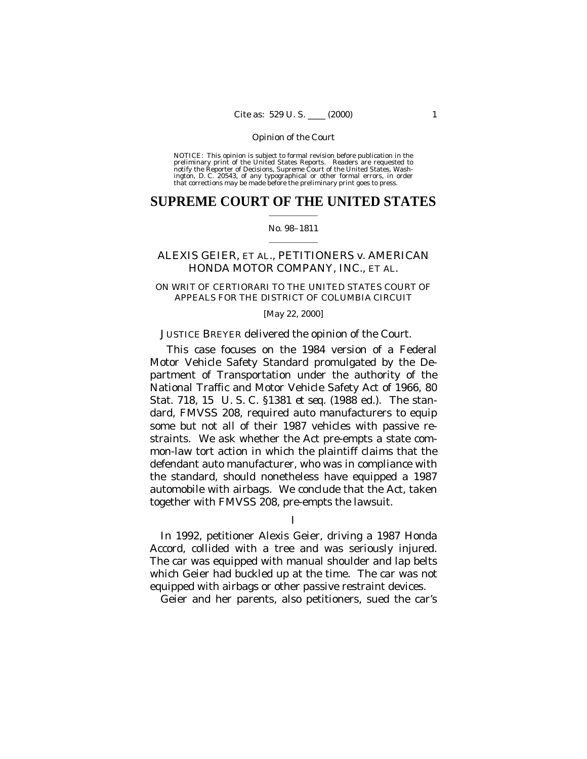NOTICE: This opinion is subject to formal revision before publication in the preliminary print of the United States Reports. Readers are requested to notify the Reporter of Decisions, Supreme Court of the United States, Wa

## **SUPREME COURT OF THE UNITED STATES**  $\mathcal{L}=\mathcal{L}^{\mathcal{L}}$  , where  $\mathcal{L}^{\mathcal{L}}$

#### No. 98–1811  $\mathcal{L}=\mathcal{L}^{\mathcal{L}}$  , where  $\mathcal{L}^{\mathcal{L}}$

## ALEXIS GEIER, ET AL., PETITIONERS *v.* AMERICAN HONDA MOTOR COMPANY, INC., ET AL.

## ON WRIT OF CERTIORARI TO THE UNITED STATES COURT OF APPEALS FOR THE DISTRICT OF COLUMBIA CIRCUIT

#### [May 22, 2000]

## JUSTICE BREYER delivered the opinion of the Court.

 This case focuses on the 1984 version of a Federal Motor Vehicle Safety Standard promulgated by the Department of Transportation under the authority of the National Traffic and Motor Vehicle Safety Act of 1966, 80 Stat. 718, 15 U. S. C. §1381 *et seq.* (1988 ed.). The standard, FMVSS 208, required auto manufacturers to equip some but not all of their 1987 vehicles with passive restraints. We ask whether the Act pre-empts a state common-law tort action in which the plaintiff claims that the defendant auto manufacturer, who was in compliance with the standard, should nonetheless have equipped a 1987 automobile with airbags. We conclude that the Act, taken together with FMVSS 208, pre-empts the lawsuit.

## I

In 1992, petitioner Alexis Geier, driving a 1987 Honda Accord, collided with a tree and was seriously injured. The car was equipped with manual shoulder and lap belts which Geier had buckled up at the time. The car was not equipped with airbags or other passive restraint devices.

Geier and her parents, also petitioners, sued the car's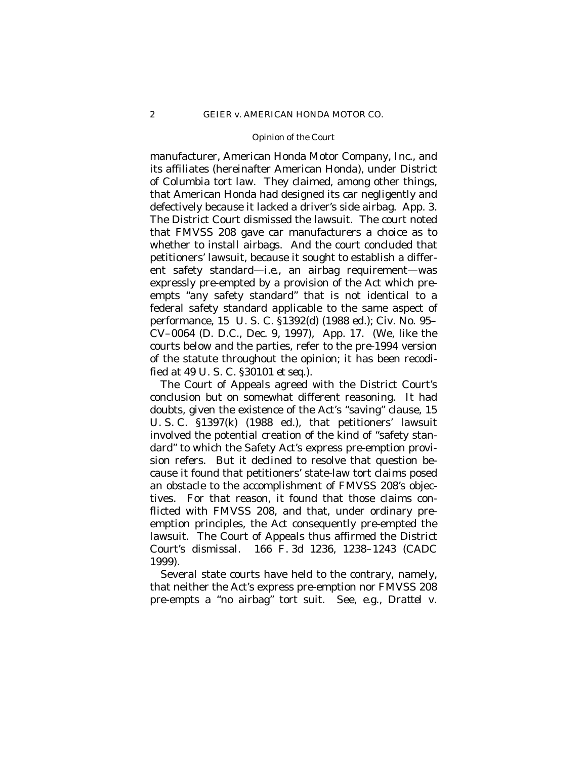manufacturer, American Honda Motor Company, Inc., and its affiliates (hereinafter American Honda), under District of Columbia tort law. They claimed, among other things, that American Honda had designed its car negligently and defectively because it lacked a driver's side airbag. App. 3. The District Court dismissed the lawsuit. The court noted that FMVSS 208 gave car manufacturers a choice as to whether to install airbags. And the court concluded that petitioners' lawsuit, because it sought to establish a different safety standard– *i.e.*, an airbag requirement– was expressly pre-empted by a provision of the Act which preempts "any safety standard" that is not identical to a federal safety standard applicable to the same aspect of performance, 15 U. S. C. §1392(d) (1988 ed.); Civ. No. 95– CV–0064 (D. D.C., Dec. 9, 1997), App. 17. (We, like the courts below and the parties, refer to the pre-1994 version of the statute throughout the opinion; it has been recodified at 49 U. S. C. §30101 *et seq*.).

The Court of Appeals agreed with the District Court's conclusion but on somewhat different reasoning. It had doubts, given the existence of the Act's "saving" clause, 15 U. S. C. §1397(k) (1988 ed.), that petitioners' lawsuit involved the potential creation of the kind of "safety standard" to which the Safety Act's express pre-emption provision refers. But it declined to resolve that question because it found that petitioners' state-law tort claims posed an obstacle to the accomplishment of FMVSS 208's objectives. For that reason, it found that those claims conflicted with FMVSS 208, and that, under ordinary preemption principles, the Act consequently pre-empted the lawsuit. The Court of Appeals thus affirmed the District Court's dismissal. 166 F. 3d 1236, 1238–1243 (CADC 1999).

Several state courts have held to the contrary, namely, that neither the Act's express pre-emption nor FMVSS 208 pre-empts a "no airbag" tort suit. See, *e.g.*, *Drattel* v.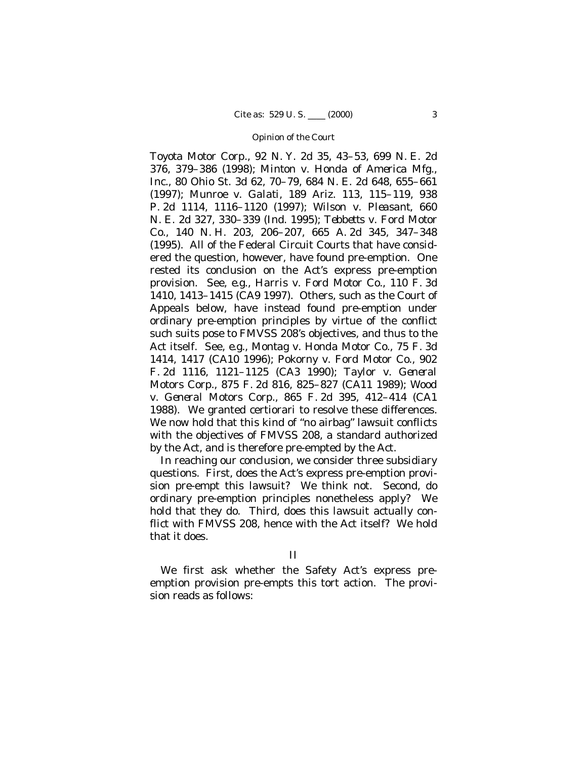*Toyota Motor Corp.*, 92 N. Y. 2d 35, 43–53, 699 N. E. 2d 376, 379–386 (1998); *Minton* v. *Honda of America Mfg., Inc.*, 80 Ohio St. 3d 62, 70–79, 684 N. E. 2d 648, 655–661 (1997); *Munroe* v. *Galati*, 189 Ariz. 113, 115–119, 938 P. 2d 1114, 1116–1120 (1997); *Wilson* v. *Pleasant*, 660 N. E. 2d 327, 330–339 (Ind. 1995); *Tebbetts* v. *Ford Motor Co.*, 140 N. H. 203, 206–207, 665 A. 2d 345, 347–348 (1995). All of the Federal Circuit Courts that have considered the question, however, have found pre-emption. One rested its conclusion on the Act's express pre-emption provision. See, *e.g.*, *Harris* v. *Ford Motor Co.*, 110 F. 3d 1410, 1413–1415 (CA9 1997). Others, such as the Court of Appeals below, have instead found pre-emption under ordinary pre-emption principles by virtue of the conflict such suits pose to FMVSS 208's objectives, and thus to the Act itself. See, *e.g.*, *Montag* v. *Honda Motor Co.*, 75 F. 3d 1414, 1417 (CA10 1996); *Pokorny* v. *Ford Motor Co.*, 902 F. 2d 1116, 1121–1125 (CA3 1990); *Taylor* v. *General Motors Corp.*, 875 F. 2d 816, 825–827 (CA11 1989); *Wood* v. *General Motors Corp.*, 865 F. 2d 395, 412–414 (CA1 1988). We granted certiorari to resolve these differences. We now hold that this kind of "no airbag" lawsuit conflicts with the objectives of FMVSS 208, a standard authorized by the Act, and is therefore pre-empted by the Act.

In reaching our conclusion, we consider three subsidiary questions. First, does the Act's express pre-emption provision pre-empt this lawsuit? We think not. Second, do ordinary pre-emption principles nonetheless apply? We hold that they do. Third, does this lawsuit actually conflict with FMVSS 208, hence with the Act itself? We hold that it does.

II

We first ask whether the Safety Act's express preemption provision pre-empts this tort action. The provision reads as follows: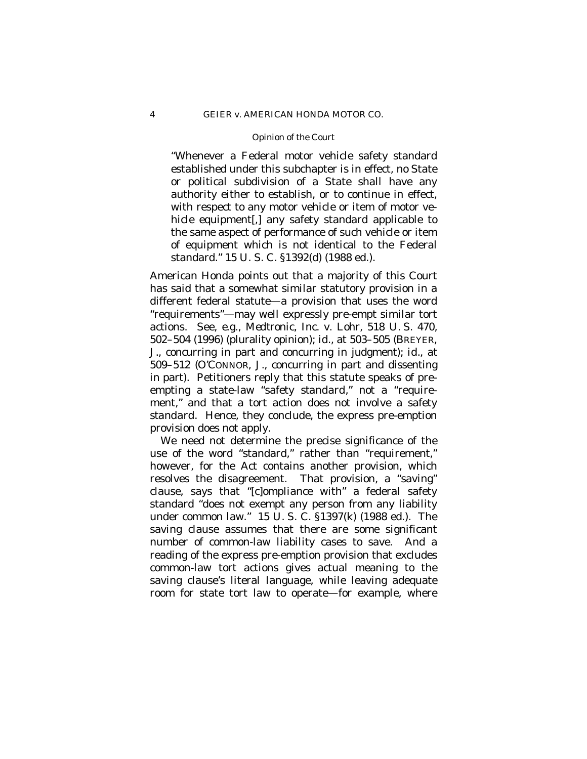"Whenever a Federal motor vehicle safety standard established under this subchapter is in effect, no State or political subdivision of a State shall have any authority either to establish, or to continue in effect, with respect to any motor vehicle or item of motor vehicle equipment[,] any safety standard applicable to the same aspect of performance of such vehicle or item of equipment which is not identical to the Federal standard." 15 U. S. C. §1392(d) (1988 ed.).

American Honda points out that a majority of this Court has said that a somewhat similar statutory provision in a different federal statute— a provision that uses the word "requirements"— may well expressly pre-empt similar tort actions. See, *e.g.*, *Medtronic, Inc.* v. *Lohr,* 518 U. S. 470, 502–504 (1996) (plurality opinion); *id*.*,* at 503–505 (BREYER, J., concurring in part and concurring in judgment); *id.*, at 509–512 (O'CONNOR, J., concurring in part and dissenting in part). Petitioners reply that this statute speaks of preempting a state-law "safety *standard*," not a "requirement," and that a tort action does not involve a safety *standard*. Hence, they conclude, the express pre-emption provision does not apply.

We need not determine the precise significance of the use of the word "standard," rather than "requirement," however, for the Act contains another provision, which resolves the disagreement. That provision, a "saving" clause, says that "[c]ompliance with" a federal safety standard "does not exempt any person from any liability under common law." 15 U. S. C. §1397(k) (1988 ed.). The saving clause assumes that there are some significant number of common-law liability cases to save. And a reading of the express pre-emption provision that excludes common-law tort actions gives actual meaning to the saving clause's literal language, while leaving adequate room for state tort law to operate— for example, where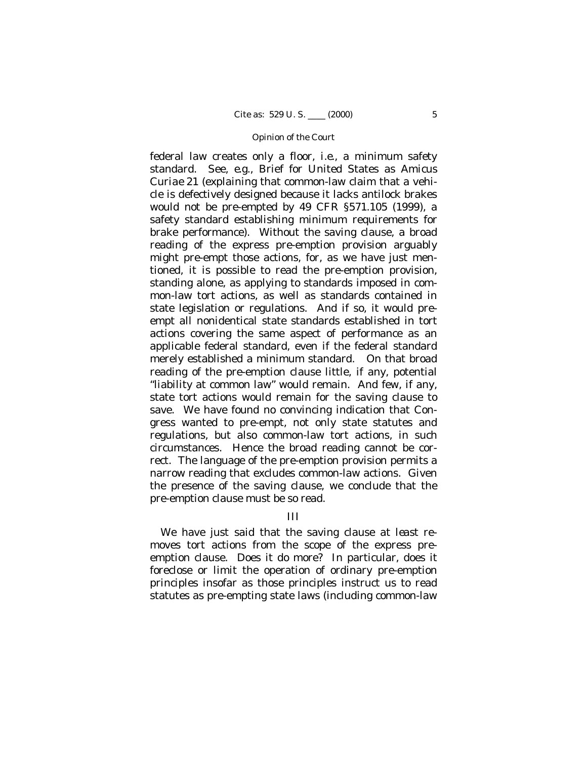federal law creates only a floor, *i.e.*, a minimum safety standard. See, *e.g.*, Brief for United States as *Amicus Curiae* 21 (explaining that common-law claim that a vehicle is defectively designed because it lacks antilock brakes would not be pre-empted by 49 CFR §571.105 (1999), a safety standard establishing minimum requirements for brake performance). Without the saving clause, a broad reading of the express pre-emption provision arguably might pre-empt those actions, for, as we have just mentioned, it is possible to read the pre-emption provision, standing alone, as applying to standards imposed in common-law tort actions, as well as standards contained in state legislation or regulations. And if so, it would preempt all nonidentical state standards established in tort actions covering the same aspect of performance as an applicable federal standard, even if the federal standard merely established a minimum standard. On that broad reading of the pre-emption clause little, if any, potential "liability at common law" would remain. And few, if any, state tort actions would remain for the saving clause to save. We have found no convincing indication that Congress wanted to pre-empt, not only state statutes and regulations, but also common-law tort actions, in such circumstances. Hence the broad reading cannot be correct. The language of the pre-emption provision permits a narrow reading that excludes common-law actions. Given the presence of the saving clause, we conclude that the pre-emption clause must be so read.

# III

We have just said that the saving clause *at least* removes tort actions from the scope of the express preemption clause. Does it do more? In particular, does it foreclose or limit the operation of ordinary pre-emption principles insofar as those principles instruct us to read statutes as pre-empting state laws (including common-law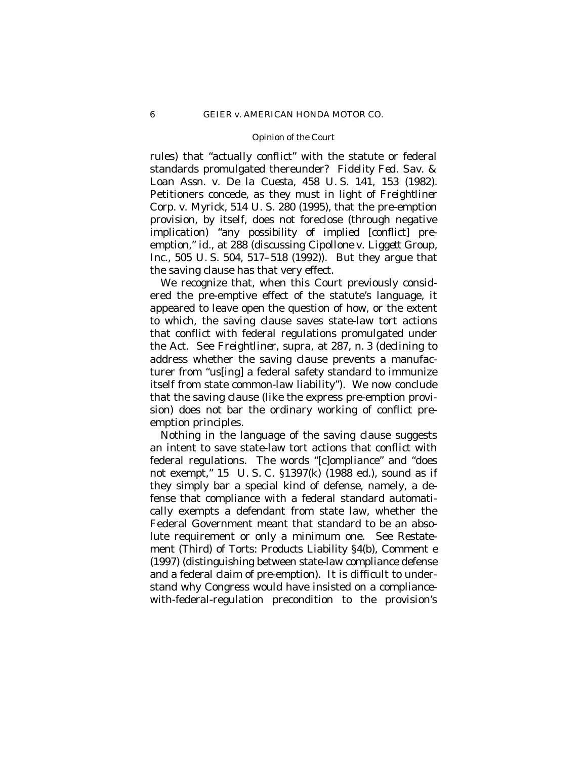rules) that "actually conflict" with the statute or federal standards promulgated thereunder? *Fidelity Fed. Sav. & Loan Assn.* v. *De la Cuesta,* 458 U. S. 141, 153 (1982). Petitioners concede, as they must in light of *Freightliner Corp.* v. *Myrick,* 514 U. S. 280 (1995), that the pre-emption provision, by itself, does not foreclose (through negative implication) "any possibility of implied [conflict] preemption," *id.,* at 288 (discussing *Cipollone* v. *Liggett Group, Inc.,* 505 U. S. 504, 517–518 (1992)). But they argue that the saving clause has that very effect.

We recognize that, when this Court previously considered the pre-emptive effect of the statute's language, it appeared to leave open the question of how, or the extent to which, the saving clause saves state-law tort actions that conflict with federal regulations promulgated under the Act. See *Freightliner, supra,* at 287, n. 3 (declining to address whether the saving clause prevents a manufacturer from "us[ing] a federal safety standard to immunize itself from state common-law liability"). We now conclude that the saving clause (like the express pre-emption provision) does *not* bar the ordinary working of conflict preemption principles.

Nothing in the language of the saving clause suggests an intent to save state-law tort actions that conflict with federal regulations. The words "[c]ompliance" and "does not exempt," 15 U. S. C. §1397(k) (1988 ed.), sound as if they simply bar a special kind of defense, namely, a defense that compliance with a federal standard automatically exempts a defendant from state law, whether the Federal Government meant that standard to be an absolute requirement or only a minimum one. See Restatement (Third) of Torts: Products Liability §4(b), Comment *e* (1997) (distinguishing between state-law compliance defense and a federal claim of pre-emption). It is difficult to understand why Congress would have insisted on a compliancewith-federal-regulation precondition to the provision's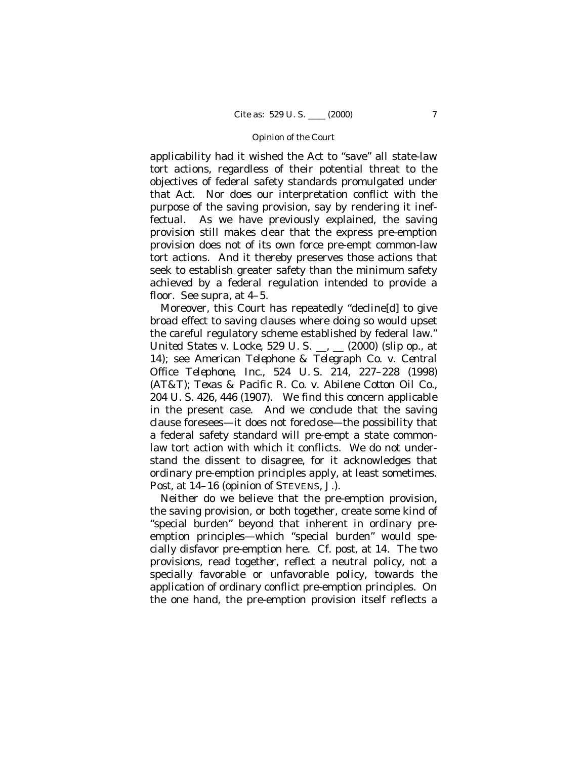applicability had it wished the Act to "save" all state-law tort actions, regardless of their potential threat to the objectives of federal safety standards promulgated under that Act. Nor does our interpretation conflict with the purpose of the saving provision, say by rendering it ineffectual. As we have previously explained, the saving provision still makes clear that the express pre-emption provision does not of its own force pre-empt common-law tort actions. And it thereby preserves those actions that seek to establish greater safety than the minimum safety achieved by a federal regulation intended to provide a floor. See *supra*, at 4–5.

Moreover, this Court has repeatedly "decline[d] to give broad effect to saving clauses where doing so would upset the careful regulatory scheme established by federal law." *United States v. Locke,* 529 U. S. \_\_, \_\_ (2000) (slip op., at 14); see *American Telephone & Telegraph Co.* v. *Central Office Telephone, Inc.,* 524 U. S. 214, 227–228 (1998) *(AT&T)*; *Texas & Pacific R. Co.* v. *Abilene Cotton Oil Co.,*

204 U. S. 426, 446 (1907). We find this concern applicable in the present case. And we conclude that the saving clause foresees— it does not foreclose— the possibility that a federal safety standard will pre-empt a state commonlaw tort action with which it conflicts. We do not understand the dissent to disagree, for it acknowledges that ordinary pre-emption principles apply, at least sometimes. *Post*, at 14–16 (opinion of STEVENS, J.).

Neither do we believe that the pre-emption provision, the saving provision, or both together, create some kind of "special burden" beyond that inherent in ordinary preemption principles— which "special burden" would specially disfavor pre-emption here. Cf. *post,* at 14. The two provisions, read together, reflect a neutral policy, not a specially favorable or unfavorable policy, towards the application of ordinary conflict pre-emption principles. On the one hand, the pre-emption provision itself reflects a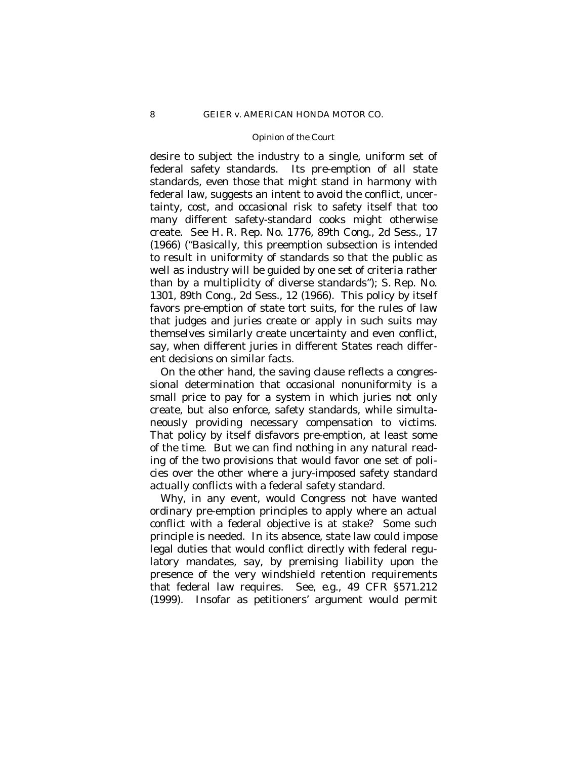desire to subject the industry to a single, uniform set of federal safety standards. Its pre-emption of *all* state standards, even those that might stand in harmony with federal law, suggests an intent to avoid the conflict, uncertainty, cost, and occasional risk to safety itself that too many different safety-standard cooks might otherwise create. See H. R. Rep. No. 1776, 89th Cong., 2d Sess., 17 (1966) ("Basically, this preemption subsection is intended to result in uniformity of standards so that the public as well as industry will be guided by one set of criteria rather than by a multiplicity of diverse standards"); S. Rep. No. 1301, 89th Cong., 2d Sess., 12 (1966). This policy by itself favors pre-emption of state tort suits, for the rules of law that judges and juries create or apply in such suits may themselves similarly create uncertainty and even conflict, say, when different juries in different States reach different decisions on similar facts.

On the other hand, the saving clause reflects a congressional determination that occasional nonuniformity is a small price to pay for a system in which juries not only create, but also enforce, safety standards, while simultaneously providing necessary compensation to victims. That policy by itself disfavors pre-emption, at least some of the time. But we can find nothing in any natural reading of the two provisions that would favor one set of policies over the other where a jury-imposed safety standard actually conflicts with a federal safety standard.

Why, in any event, would Congress not have wanted ordinary pre-emption principles to apply where an actual conflict with a federal objective is at stake? Some such principle is needed. In its absence, state law could impose legal duties that would conflict directly with federal regulatory mandates, say, by premising liability upon the presence of the very windshield retention requirements that federal law requires. See, *e.g.*, 49 CFR §571.212 (1999). Insofar as petitioners' argument would permit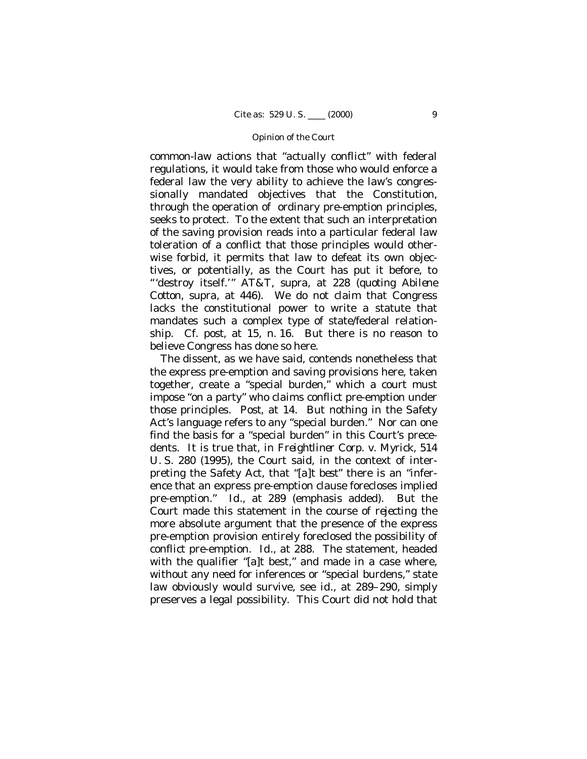common-law actions that "actually conflict" with federal regulations, it would take from those who would enforce a federal law the very ability to achieve the law's congressionally mandated objectives that the Constitution, through the operation of ordinary pre-emption principles, seeks to protect. To the extent that such an interpretation of the saving provision reads into a particular federal law toleration of a conflict that those principles would otherwise forbid, it permits that law to defeat its own objectives, or potentially, as the Court has put it before, to "'destroy itself.'" *AT&T, supra,* at 228 (quoting *Abilene Cotton, supra,* at 446). We do not claim that Congress lacks the constitutional power to write a statute that mandates such a complex type of state/federal relationship. Cf. *post*, at 15, n. 16. But there is no reason to believe Congress has done so here.

The dissent, as we have said, contends nonetheless that the express pre-emption and saving provisions here, taken together, create a "special burden," which a court must impose "on a party" who claims conflict pre-emption under those principles. *Post*, at 14. But nothing in the Safety Act's language refers to any "special burden."Nor can one find the basis for a "special burden" in this Court's precedents. It is true that, in *Freightliner Corp.* v. *Myrick,* 514 U. S. 280 (1995), the Court said, in the context of interpreting the Safety Act, that "[*a*]*t best*" there is an "inference that an express pre-emption clause forecloses implied pre-emption." *Id*., at 289 (emphasis added). But the Court made this statement in the course of *rejecting* the more absolute argument that the presence of the express pre-emption provision entirely foreclosed the possibility of conflict pre-emption. *Id.,* at 288. The statement, headed with the qualifier "[a]t best," and made in a case where, without any need for inferences or "special burdens," state law obviously would survive, see *id.,* at 289–290, simply preserves a legal possibility. This Court did not hold that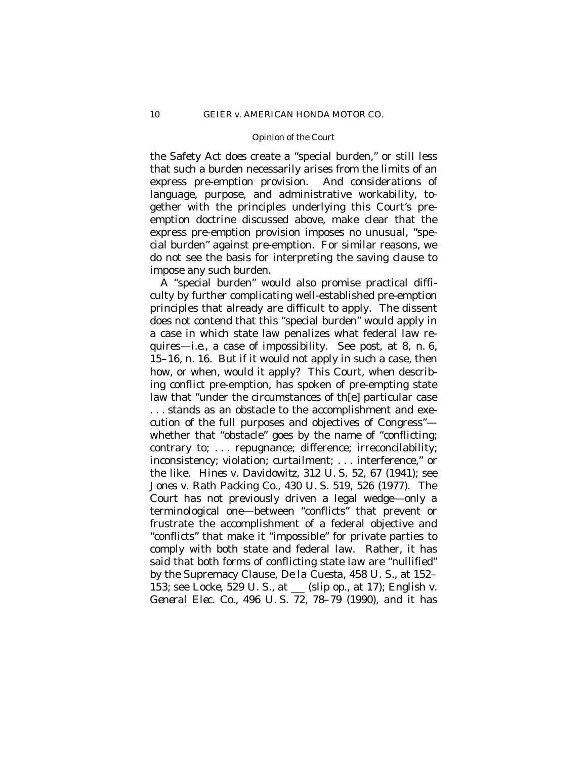the Safety Act *does* create a "special burden," or still less that such a burden necessarily arises from the limits of an express pre-emption provision. And considerations of language, purpose, and administrative workability, together with the principles underlying this Court's preemption doctrine discussed above, make clear that the express pre-emption provision imposes no unusual, "special burden" against pre-emption. For similar reasons, we do not see the basis for interpreting the saving clause to impose any such burden.

A "special burden" would also promise practical difficulty by further complicating well-established pre-emption principles that already are difficult to apply. The dissent does not contend that this "special burden" would apply in a case in which state law penalizes what federal law requires— *i.e.*, a case of impossibility. See *post*, at 8, n. 6, 15–16, n. 16. But if it would not apply in such a case, then how, or when, would it apply? This Court, when describing conflict pre-emption, has spoken of pre-empting state law that "under the circumstances of th[e] particular case . . . stands as an obstacle to the accomplishment and execution of the full purposes and objectives of Congress" whether that "obstacle" goes by the name of "conflicting; contrary to; . . . repugnance; difference; irreconcilability; inconsistency; violation; curtailment; . . . interference," or the like. *Hines* v. *Davidowitz,* 312 U. S. 52, 67 (1941); see *Jones* v. *Rath Packing Co.,* 430 U. S. 519, 526 (1977). The Court has not previously driven a legal wedge— only a terminological one— between "conflicts" that prevent or frustrate the accomplishment of a federal objective and "conflicts" that make it "impossible" for private parties to comply with both state and federal law. Rather, it has said that both forms of conflicting state law are "nullified" by the Supremacy Clause, *De la Cuesta*, 458 U. S., at 152– 153; see *Locke*, 529 U. S., at (slip op., at 17); *English* v. *General Elec. Co.,* 496 U. S. 72, 78–79 (1990), and it has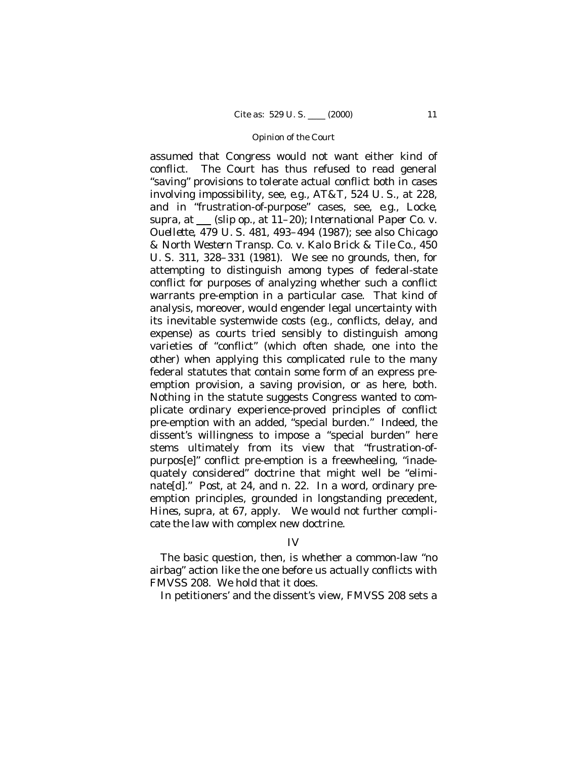assumed that Congress would not want either kind of conflict. The Court has thus refused to read general "saving" provisions to tolerate actual conflict *both* in cases involving impossibility, see, *e.g.*, *AT&T,* 524 U. S., at 228, *and* in "frustration-of-purpose" cases, see, *e.g., Locke, supra, at* \_\_\_ (slip op., at 11–20); *International Paper Co. v. Ouellette,* 479 U. S. 481, 493–494 (1987); see also *Chicago & North Western Transp. Co.* v. *Kalo Brick & Tile Co.,* 450 U. S. 311, 328–331 (1981). We see no grounds, then, for attempting to distinguish among types of federal-state conflict for purposes of analyzing whether such a conflict warrants pre-emption in a particular case. That kind of analysis, moreover, would engender legal uncertainty with its inevitable systemwide costs (*e.g.,* conflicts, delay, and expense) as courts tried sensibly to distinguish among varieties of "conflict" (which often shade, one into the other) when applying this complicated rule to the many federal statutes that contain some form of an express preemption provision, a saving provision, or as here, both. Nothing in the statute suggests Congress wanted to complicate ordinary experience-proved principles of conflict pre-emption with an added, "special burden." Indeed, the dissent's willingness to impose a "special burden" here stems ultimately from its view that "frustration-ofpurpos[e]" conflict pre-emption is a freewheeling, "inadequately considered" doctrine that might well be "eliminate[d]." *Post*, at 24, and n. 22. In a word, ordinary preemption principles, grounded in longstanding precedent, *Hines, supra,* at 67, apply. We would not further complicate the law with complex new doctrine.

## IV

The basic question, then, is whether a common-law "no airbag" action like the one before us actually conflicts with FMVSS 208. We hold that it does.

In petitioners' and the dissent's view, FMVSS 208 sets a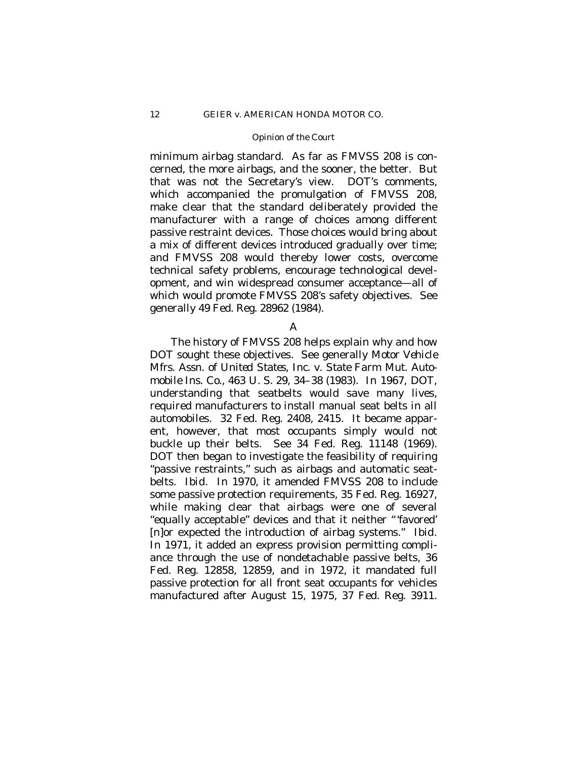minimum airbag standard. As far as FMVSS 208 is concerned, the more airbags, and the sooner, the better. But that was not the Secretary's view. DOT's comments, which accompanied the promulgation of FMVSS 208, make clear that the standard deliberately provided the manufacturer with a range of choices among different passive restraint devices. Those choices would bring about a mix of different devices introduced gradually over time; and FMVSS 208 would thereby lower costs, overcome technical safety problems, encourage technological development, and win widespread consumer acceptance— all of which would promote FMVSS 208's safety objectives. See generally 49 Fed. Reg. 28962 (1984).

A

The history of FMVSS 208 helps explain why and how DOT sought these objectives. See generally *Motor Vehicle Mfrs. Assn. of United States, Inc.* v. *State Farm Mut. Automobile Ins. Co.,* 463 U. S. 29, 34–38 (1983). In 1967, DOT, understanding that seatbelts would save many lives, required manufacturers to install manual seat belts in all automobiles. 32 Fed. Reg. 2408, 2415. It became apparent, however, that most occupants simply would not buckle up their belts. See 34 Fed. Reg. 11148 (1969). DOT then began to investigate the feasibility of requiring "passive restraints," such as airbags and automatic seatbelts. *Ibid.* In 1970, it amended FMVSS 208 to include some passive protection requirements, 35 Fed. Reg. 16927, while making clear that airbags were one of several "equally acceptable" devices and that it neither "'favored' [n]or expected the introduction of airbag systems." *Ibid.* In 1971, it added an express provision permitting compliance through the use of nondetachable passive belts, 36 Fed. Reg. 12858, 12859, and in 1972, it mandated full passive protection for all front seat occupants for vehicles manufactured after August 15, 1975, 37 Fed. Reg. 3911.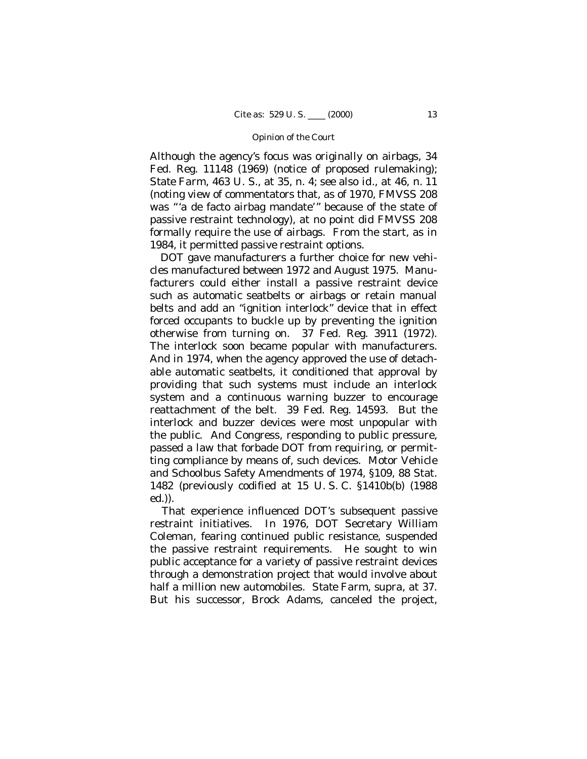Although the agency's focus was originally on airbags, 34 Fed. Reg. 11148 (1969) (notice of proposed rulemaking); *State Farm*, 463 U. S., at 35, n. 4; see also *id.,* at 46, n. 11 (noting view of commentators that, as of 1970, FMVSS 208 was "'a de facto airbag mandate'" because of the state of passive restraint technology), at no point did FMVSS 208 formally require the use of airbags. From the start, as in 1984, it permitted passive restraint options.

DOT gave manufacturers a further choice for new vehicles manufactured between 1972 and August 1975. Manufacturers could either install a passive restraint device such as automatic seatbelts or airbags or retain manual belts and add an "ignition interlock" device that in effect forced occupants to buckle up by preventing the ignition otherwise from turning on. 37 Fed. Reg. 3911 (1972). The interlock soon became popular with manufacturers. And in 1974, when the agency approved the use of detachable automatic seatbelts, it conditioned that approval by providing that such systems must include an interlock system *and* a continuous warning buzzer to encourage reattachment of the belt. 39 Fed. Reg. 14593. But the interlock and buzzer devices were most unpopular with the public. And Congress, responding to public pressure, passed a law that forbade DOT from requiring, or permitting compliance by means of, such devices. Motor Vehicle and Schoolbus Safety Amendments of 1974, §109, 88 Stat. 1482 (previously codified at 15 U. S. C. §1410b(b) (1988 ed.)).

 That experience influenced DOT's subsequent passive restraint initiatives. In 1976, DOT Secretary William Coleman, fearing continued public resistance, suspended the passive restraint requirements. He sought to win public acceptance for a variety of passive restraint devices through a demonstration project that would involve about half a million new automobiles. *State Farm, supra,* at 37. But his successor, Brock Adams, canceled the project,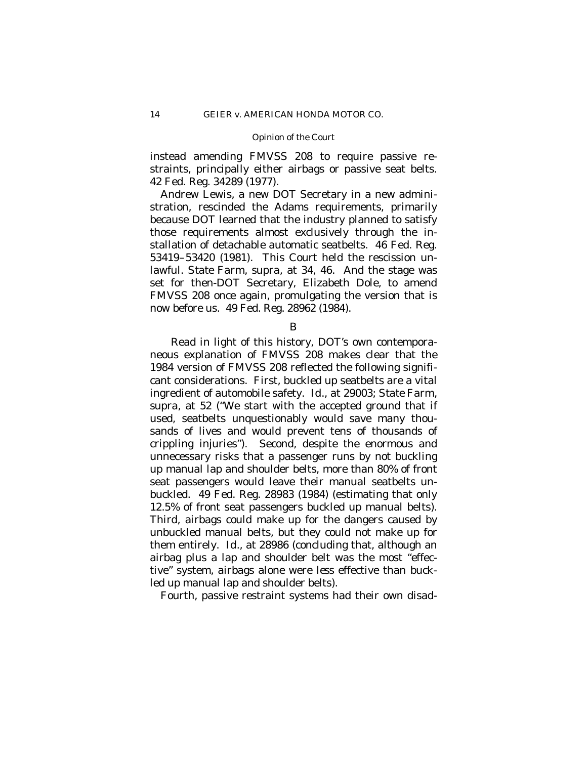instead amending FMVSS 208 to require passive restraints, principally either airbags or passive seat belts. 42 Fed. Reg. 34289 (1977).

Andrew Lewis, a new DOT Secretary in a new administration, rescinded the Adams requirements, primarily because DOT learned that the industry planned to satisfy those requirements almost exclusively through the installation of detachable automatic seatbelts. 46 Fed. Reg. 53419–53420 (1981). This Court held the rescission unlawful. *State Farm, supra,* at 34, 46. And the stage was set for then-DOT Secretary, Elizabeth Dole, to amend FMVSS 208 once again, promulgating the version that is now before us. 49 Fed. Reg. 28962 (1984).

B

Read in light of this history, DOT's own contemporaneous explanation of FMVSS 208 makes clear that the 1984 version of FMVSS 208 reflected the following significant considerations. First, buckled up seatbelts are a vital ingredient of automobile safety. *Id.,* at 29003; *State Farm, supra,* at 52 ("We start with the accepted ground that if used, seatbelts unquestionably would save many thousands of lives and would prevent tens of thousands of crippling injuries"). Second, despite the enormous and unnecessary risks that a passenger runs by not buckling up manual lap and shoulder belts, more than 80% of front seat passengers would leave their manual seatbelts unbuckled. 49 Fed. Reg. 28983 (1984) (estimating that only 12.5% of front seat passengers buckled up manual belts). Third, airbags could make up for the dangers caused by unbuckled manual belts, but they could not make up for them entirely. *Id.,* at 28986 (concluding that, although an airbag plus a lap and shoulder belt was the most "effective" system, airbags alone were *less* effective than buckled up manual lap and shoulder belts).

Fourth, passive restraint systems had their own disad-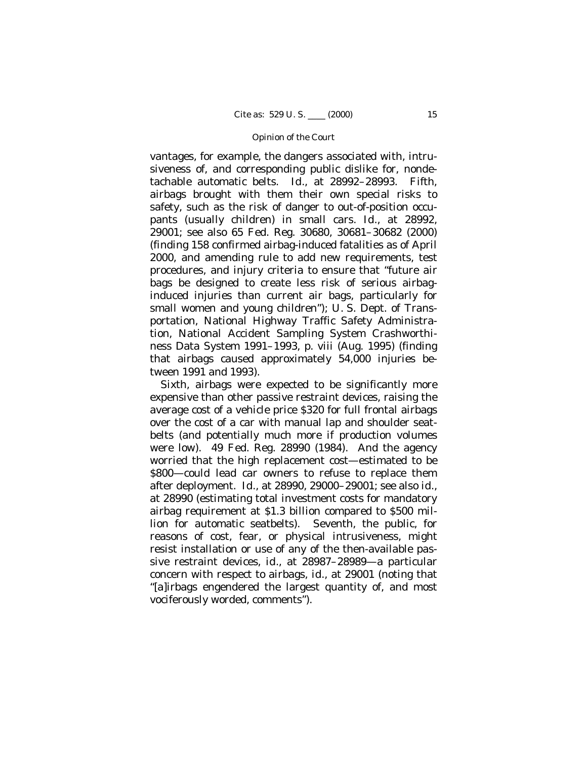vantages, for example, the dangers associated with, intrusiveness of, and corresponding public dislike for, nondetachable automatic belts. *Id.,* at 28992–28993. Fifth, airbags brought with them their own special risks to safety, such as the risk of danger to out-of-position occupants (usually children) in small cars. *Id.,* at 28992, 29001; see also 65 Fed. Reg. 30680, 30681–30682 (2000) (finding 158 confirmed airbag-induced fatalities as of April 2000, and amending rule to add new requirements, test procedures, and injury criteria to ensure that "future air bags be designed to create less risk of serious airbaginduced injuries than current air bags, particularly for small women and young children"); U. S. Dept. of Transportation, National Highway Traffic Safety Administration, National Accident Sampling System Crashworthiness Data System 1991–1993, p. viii (Aug. 1995) (finding that airbags caused approximately 54,000 injuries between 1991 and 1993).

Sixth, airbags were expected to be significantly more expensive than other passive restraint devices, raising the average cost of a vehicle price \$320 for full frontal airbags over the cost of a car with manual lap and shoulder seatbelts (and potentially much more if production volumes were low). 49 Fed. Reg. 28990 (1984). And the agency worried that the high replacement cost— estimated to be \$800— could lead car owners to refuse to replace them after deployment. *Id.*, at 28990, 29000–29001; see also *id.,* at 28990 (estimating total investment costs for mandatory airbag requirement at \$1.3 billion compared to \$500 million for automatic seatbelts). Seventh, the public, for reasons of cost, fear, or physical intrusiveness, might resist installation or use of any of the then-available passive restraint devices, *id.,* at 28987–28989— a particular concern with respect to airbags, *id.,* at 29001 (noting that "[a]irbags engendered the largest quantity of, and most vociferously worded, comments").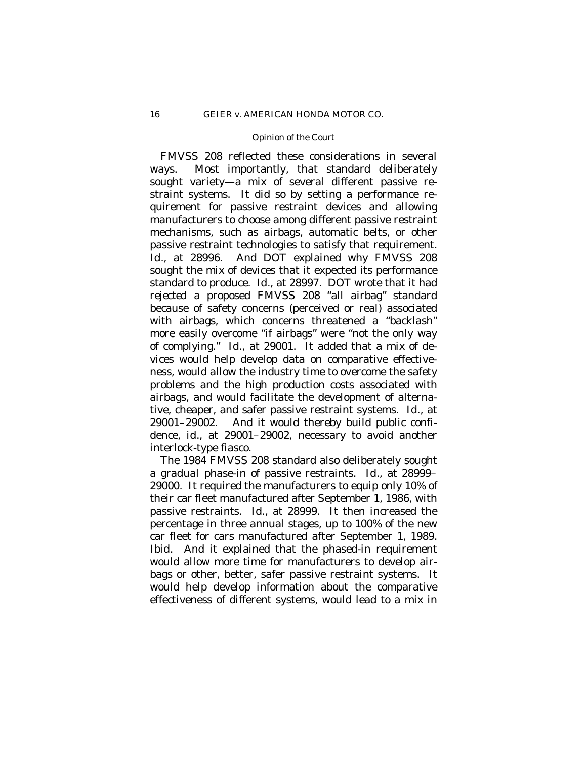FMVSS 208 reflected these considerations in several ways. Most importantly, that standard deliberately sought variety— a mix of several different passive restraint systems. It did so by setting a performance requirement for passive restraint devices and allowing manufacturers to choose among different passive restraint mechanisms, such as airbags, automatic belts, or other passive restraint technologies to satisfy that requirement. *Id.,* at 28996. And DOT explained why FMVSS 208 sought the mix of devices that it expected its performance standard to produce. *Id.,* at 28997. DOT wrote that it had *rejected* a proposed FMVSS 208 "all airbag" standard because of safety concerns (perceived or real) associated with airbags, which concerns threatened a "backlash" more easily overcome "if airbags" were "not the only way of complying." *Id.,* at 29001. It added that a mix of devices would help develop data on comparative effectiveness, would allow the industry time to overcome the safety problems and the high production costs associated with airbags, and would facilitate the development of alternative, cheaper, and safer passive restraint systems. *Id.,* at 29001–29002. And it would thereby build public confidence, *id.,* at 29001–29002, necessary to avoid another interlock-type fiasco.

The 1984 FMVSS 208 standard also deliberately sought a *gradual* phase-in of passive restraints. *Id.,* at 28999– 29000. It required the manufacturers to equip only 10% of their car fleet manufactured after September 1, 1986, with passive restraints. *Id.,* at 28999. It then increased the percentage in three annual stages, up to 100% of the new car fleet for cars manufactured after September 1, 1989. *Ibid.* And it explained that the phased-in requirement would allow more time for manufacturers to develop airbags or other, better, safer passive restraint systems. It would help develop information about the comparative effectiveness of different systems, would lead to a mix in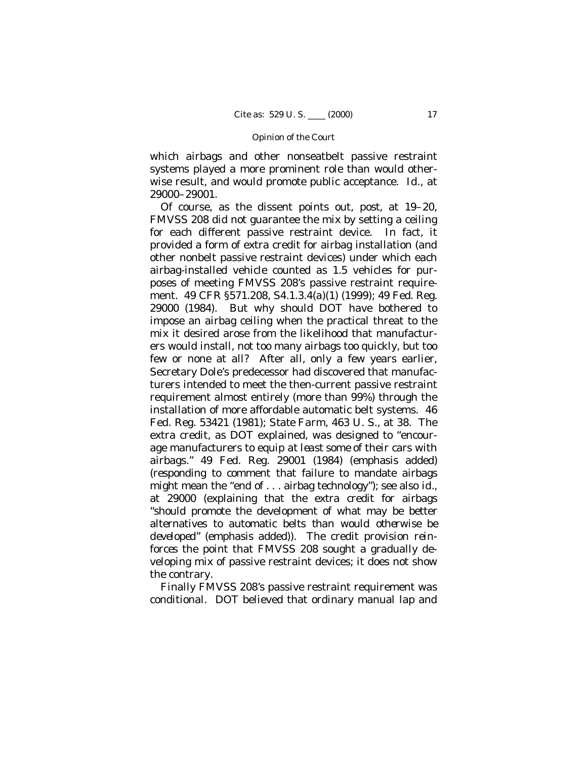which airbags and other nonseatbelt passive restraint systems played a more prominent role than would otherwise result, and would promote public acceptance. *Id.,* at 29000–29001.

Of course, as the dissent points out, *post*, at 19–20, FMVSS 208 did not guarantee the mix by setting a ceiling for each different passive restraint device. In fact, it provided a form of extra credit for airbag installation (and other nonbelt passive restraint devices) under which each airbag-installed vehicle counted as 1.5 vehicles for purposes of meeting FMVSS 208's passive restraint requirement. 49 CFR §571.208, S4.1.3.4(a)(1) (1999); 49 Fed. Reg. 29000 (1984). But why should DOT have bothered to impose an airbag ceiling when the practical threat to the mix it desired arose from the likelihood that manufacturers would install, not too many airbags too quickly, but too few or none at all? After all, only a few years earlier, Secretary Dole's predecessor had discovered that manufacturers intended to meet the then-current passive restraint requirement almost entirely (more than 99%) through the installation of more affordable automatic belt systems. 46 Fed. Reg. 53421 (1981); *State Farm*, 463 U. S., at 38. The extra credit, as DOT explained, was designed to "encourage manufacturers to equip *at least some* of their cars with airbags." 49 Fed. Reg. 29001 (1984) (emphasis added) (responding to comment that failure to mandate airbags might mean the "end of . . . airbag technology"); see also *id.,* at 29000 (explaining that the extra credit for airbags "should promote the development of what may be better alternatives to automatic belts *than would otherwise be developed*" (emphasis added)). The credit provision *reinforces* the point that FMVSS 208 sought a gradually developing mix of passive restraint devices; it does not show the contrary.

Finally FMVSS 208's passive restraint requirement was conditional. DOT believed that ordinary manual lap and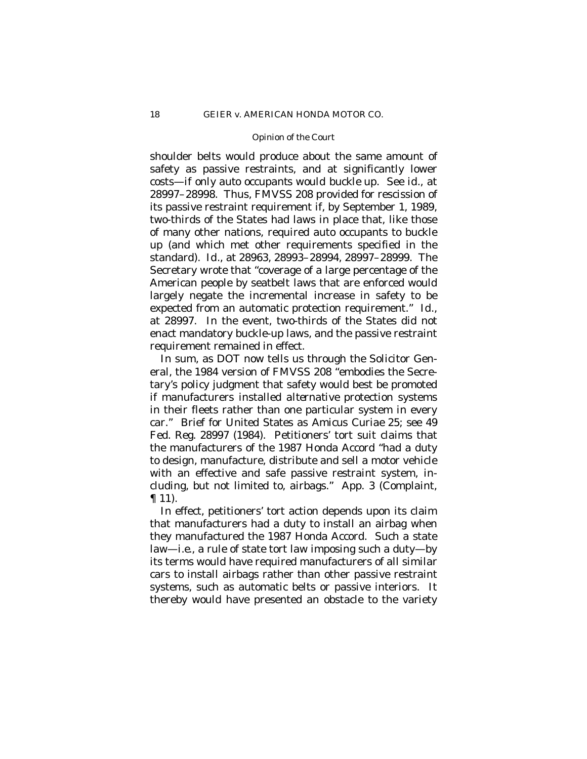shoulder belts would produce about the same amount of safety as passive restraints, and at significantly lower costs— *if only auto occupants would buckle up*. See *id.,* at 28997–28998. Thus, FMVSS 208 provided for rescission of its passive restraint requirement if, by September 1, 1989, two-thirds of the States had laws in place that, like those of many other nations, required auto occupants to buckle up (and which met other requirements specified in the standard). *Id.,* at 28963, 28993–28994, 28997–28999. The Secretary wrote that "coverage of a large percentage of the American people by seatbelt laws that are enforced would largely negate the incremental increase in safety to be expected from an automatic protection requirement." *Id.,* at 28997. In the event, two-thirds of the States did not enact mandatory buckle-up laws, and the passive restraint requirement remained in effect.

In sum, as DOT now tells us through the Solicitor General, the 1984 version of FMVSS 208 "embodies the Secretary's policy judgment that safety would best be promoted if manufacturers installed *alternative* protection systems in their fleets rather than one particular system in every car." Brief for United States as *Amicus Curiae* 25; see 49 Fed. Reg. 28997 (1984). Petitioners' tort suit claims that the manufacturers of the 1987 Honda Accord "had a duty to design, manufacture, distribute and sell a motor vehicle with an effective and safe passive restraint system, including, but not limited to, airbags." App. 3 (Complaint,  $\P(11)$ .

In effect, petitioners' tort action depends upon its claim that manufacturers had a duty to install an airbag when they manufactured the 1987 Honda Accord. Such a state law— *i.e.*, a rule of state tort law imposing such a duty— by its terms would have required manufacturers of all similar cars to install airbags rather than other passive restraint systems, such as automatic belts or passive interiors. It thereby would have presented an obstacle to the variety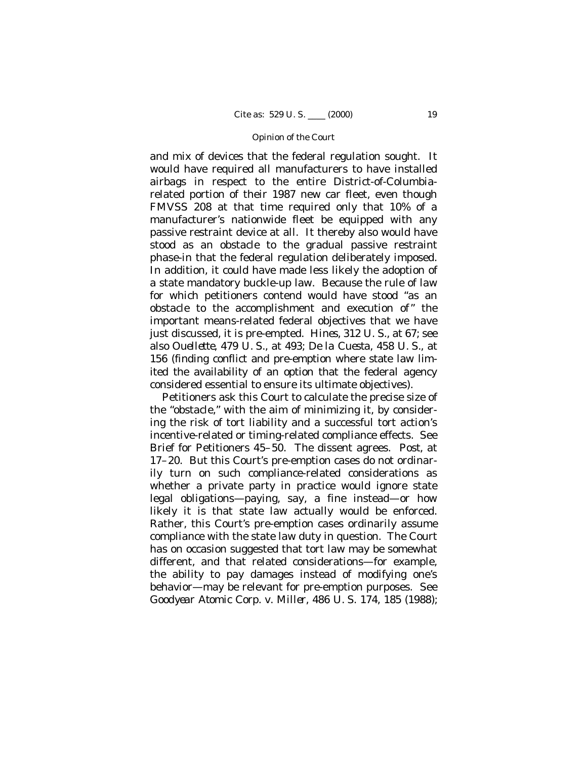and mix of devices that the federal regulation sought. It would have required all manufacturers to have installed airbags in respect to the entire District-of-Columbiarelated portion of their 1987 new car fleet, even though FMVSS 208 at that time required only that 10% of a manufacturer's nationwide fleet be equipped with any passive restraint device at all. It thereby also would have stood as an obstacle to the gradual passive restraint phase-in that the federal regulation deliberately imposed. In addition, it could have made less likely the adoption of a state mandatory buckle-up law. Because the rule of law for which petitioners contend would have stood "as an obstacle to the accomplishment and execution of" the important means-related federal objectives that we have just discussed, it is pre-empted. *Hines*, 312 U. S., at 67; see also *Ouellette,* 479 U. S., at 493; *De la Cuesta*, 458 U. S., at 156 (finding conflict and pre-emption where state law limited the availability of an option that the federal agency considered essential to ensure its ultimate objectives).

 Petitioners ask this Court to calculate the precise size of the "obstacle," with the aim of minimizing it, by considering the risk of tort liability and a successful tort action's incentive-related or timing-related compliance effects. See Brief for Petitioners 45–50. The dissent agrees. *Post*, at 17–20. But this Court's pre-emption cases do not ordinarily turn on such compliance-related considerations as whether a private party in practice would ignore state legal obligations— paying, say, a fine instead— or how likely it is that state law actually would be enforced. Rather, this Court's pre-emption cases ordinarily *assume* compliance with the state law duty in question. The Court has on occasion suggested that tort law may be somewhat different, and that related considerations— for example, the ability to pay damages instead of modifying one's behavior— may be relevant for pre-emption purposes. See *Goodyear Atomic Corp.* v. *Miller,* 486 U. S. 174, 185 (1988);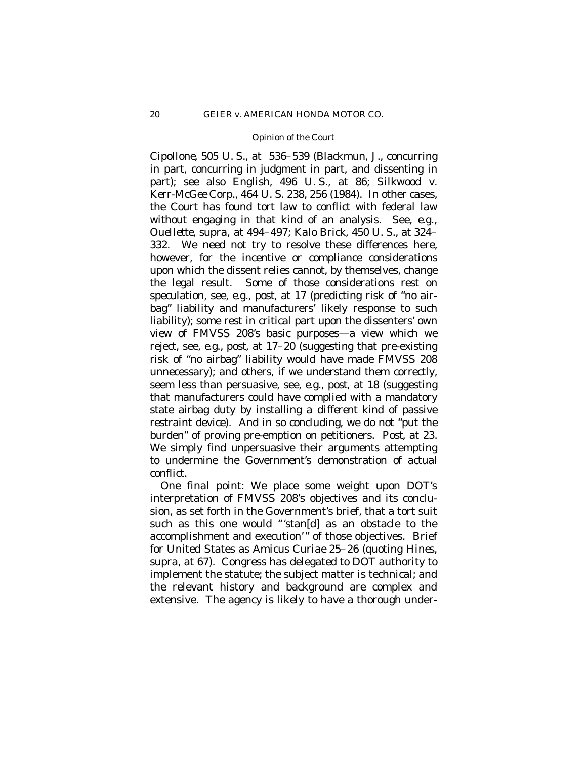*Cipollone*, 505 U. S., at 536–539 (Blackmun, J., concurring in part, concurring in judgment in part, and dissenting in part); see also *English,* 496 U. S., at 86; *Silkwood* v. *Kerr-McGee Corp.,* 464 U. S. 238, 256 (1984). In other cases, the Court has found tort law to conflict with federal law without engaging in that kind of an analysis. See, *e.g., Ouellette, supra,* at 494–497; *Kalo Brick*, 450 U. S., at 324– 332. We need not try to resolve these differences here, however, for the incentive or compliance considerations upon which the dissent relies cannot, by themselves, change the legal result. Some of those considerations rest on speculation, see, *e.g.*, *post*, at 17 (predicting risk of "no airbag" liability and manufacturers' likely response to such liability); some rest in critical part upon the dissenters' own view of FMVSS 208's basic purposes— a view which we reject, see, *e.g., post*, at 17–20 (suggesting that pre-existing risk of "no airbag" liability would have made FMVSS 208 unnecessary); and others, if we understand them correctly, seem less than persuasive, see, *e.g.*, *post*, at 18 (suggesting that manufacturers could have complied with a mandatory state airbag duty by installing a *different* kind of passive restraint device). And in so concluding, we do not "put the burden" of proving pre-emption on petitioners. *Post*, at 23. We simply find unpersuasive their arguments attempting to undermine the Government's demonstration of actual conflict.

One final point: We place some weight upon DOT's interpretation of FMVSS 208's objectives and its conclusion, as set forth in the Government's brief, that a tort suit such as this one would "'stan[d] as an obstacle to the accomplishment and execution'" of those objectives. Brief for United States as *Amicus Curiae* 25–26 (quoting *Hines, supra,* at 67). Congress has delegated to DOT authority to implement the statute; the subject matter is technical; and the relevant history and background are complex and extensive. The agency is likely to have a thorough under-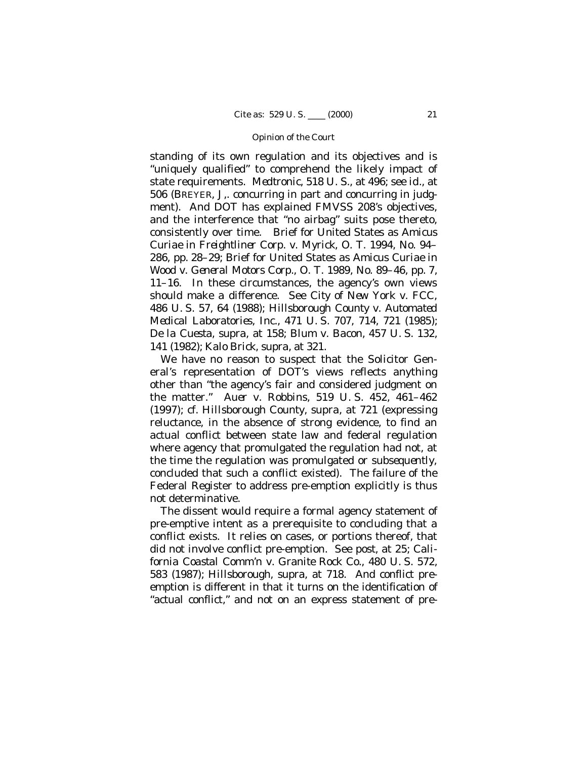standing of its own regulation and its objectives and is "uniquely qualified" to comprehend the likely impact of state requirements. *Medtronic*, 518 U. S., at 496; see *id*., at 506 (BREYER, J,. concurring in part and concurring in judgment). And DOT has explained FMVSS 208's objectives, and the interference that "no airbag" suits pose thereto, consistently over time. Brief for United States as *Amicus Curiae* in *Freightliner Corp.* v. *Myrick*, O. T. 1994, No. 94– 286, pp. 28–29; Brief for United States as *Amicus Curiae* in *Wood* v. *General Motors Corp.*, O. T. 1989, No. 89–46, pp. 7, 11–16. In these circumstances, the agency's own views should make a difference. See *City of New York* v. *FCC,* 486 U. S. 57, 64 (1988); *Hillsborough County* v. *Automated Medical Laboratories, Inc.,* 471 U. S. 707, 714, 721 (1985); *De la Cuesta, supra,* at 158; *Blum* v. *Bacon,* 457 U. S. 132, 141 (1982); *Kalo Brick, supra,* at 321.

We have no reason to suspect that the Solicitor General's representation of DOT's views reflects anything other than "the agency's fair and considered judgment on the matter." *Auer* v. *Robbins,* 519 U. S. 452, 461–462 (1997); cf. *Hillsborough County, supra,* at 721 (expressing reluctance, in the absence of strong evidence, to find an actual conflict between state law and federal regulation where agency that promulgated the regulation had not, at the time the regulation was promulgated *or subsequently*, concluded that such a conflict existed). The failure of the Federal Register to address pre-emption explicitly is thus not determinative.

The dissent would require a formal agency statement of pre-emptive intent as a prerequisite to concluding that a conflict exists. It relies on cases, or portions thereof, that did not involve conflict pre-emption. See *post*, at 25; *California Coastal Comm'n* v. *Granite Rock Co.,* 480 U. S. 572, 583 (1987); *Hillsborough, supra,* at 718. And conflict preemption is different in that it turns on the identification of "actual conflict," and not on an express statement of pre-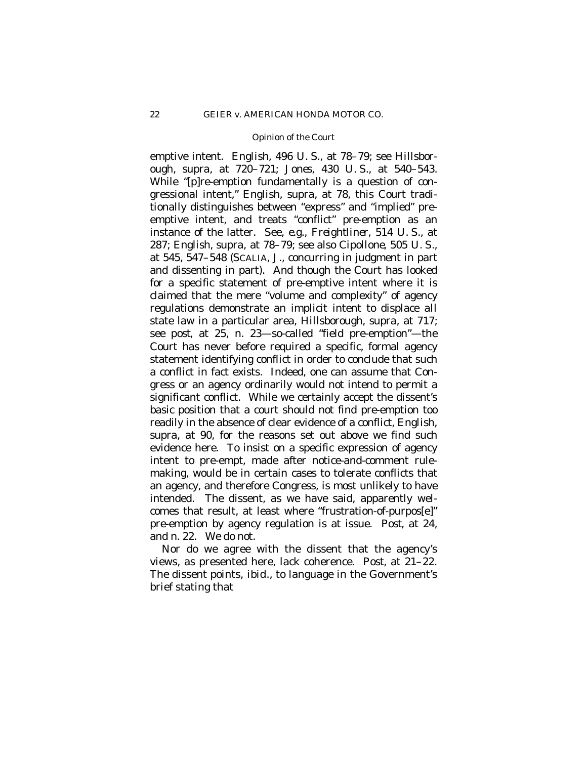emptive intent. *English,* 496 U. S., at 78–79; see *Hillsborough, supra,* at 720–721; *Jones,* 430 U. S., at 540–543. While "[p]re-emption fundamentally is a question of congressional intent," *English, supra,* at 78, this Court traditionally distinguishes between "express" and "implied" preemptive intent, and treats "conflict" pre-emption as an instance of the latter. See, *e.g., Freightliner*, 514 U. S., at 287; *English, supra,* at 78–79; see also *Cipollone*, 505 U. S., at 545, 547–548 (SCALIA, J., concurring in judgment in part and dissenting in part). And though the Court has looked for a specific statement of pre-emptive intent where it is claimed that the mere "volume and complexity" of agency regulations demonstrate an implicit intent to displace *all* state law in a particular area, *Hillsborough, supra,* at 717; see *post*, at 25, n. 23— so-called "field pre-emption"— the Court has never before required a specific, formal agency statement identifying conflict in order to conclude that such a conflict in fact exists. Indeed, one can assume that Congress or an agency ordinarily would not intend to permit a significant conflict. While we certainly accept the dissent's basic position that a court should not find pre-emption too readily in the absence of clear evidence of a conflict, *English, supra,* at 90, for the reasons set out above we find such evidence here. To insist on a specific expression of agency intent to pre-empt, made after notice-and-comment rulemaking, would be in certain cases to tolerate conflicts that an agency, and therefore Congress, is most unlikely to have intended. The dissent, as we have said, apparently welcomes that result, at least where "frustration-of-purpos[e]" pre-emption by agency regulation is at issue. *Post*, at 24, and n. 22. We do not.

 Nor do we agree with the dissent that the agency's views, as presented here, lack coherence. *Post*, at 21–22. The dissent points, *ibid.*, to language in the Government's brief stating that